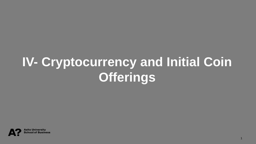# **IV- Cryptocurrency and Initial Coin Offerings**

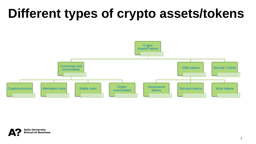### **Different types of crypto assets/tokens**



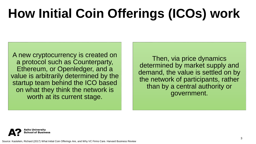## **How Initial Coin Offerings (ICOs) work**

A new cryptocurrency is created on a protocol such as Counterparty, Ethereum, or Openledger, and a value is arbitrarily determined by the startup team behind the ICO based on what they think the network is worth at its current stage.

Then, via price dynamics determined by market supply and demand, the value is settled on by the network of participants, rather than by a central authority or government.



Source: Kastelein, Richard (2017) What Initial Coin Offerings Are, and Why VC Firms Care. Harvard Business Review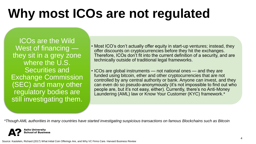### **Why most ICOs are not regulated**

**ICOs are the Wild** West of financing they sit in a grey zone where the U.S. Securities and Exchange Commission (SEC) and many other regulatory bodies are still investigating them.

- Most ICO's don't actually offer equity in start-up ventures; instead, they offer discounts on cryptocurrencies before they hit the exchanges. Therefore, ICOs don't fit into the current definition of a security, and are technically outside of traditional legal frameworks.
- ICOs are global instruments not national ones and they are funded using bitcoin, ether and other cryptocurrencies that are not controlled by any central authority or bank. Anyone can invest, and they can even do so pseudo-anonymously (it's not impossible to find out who people are, but it's not easy, either). Currently, there's no Anti-Money Laundering (AML) law or Know Your Customer (KYC) framework.\*

*\*Though AML authorities in many countries have started investigating suspicious transactions on famous Blockchains such as Bitcoin*